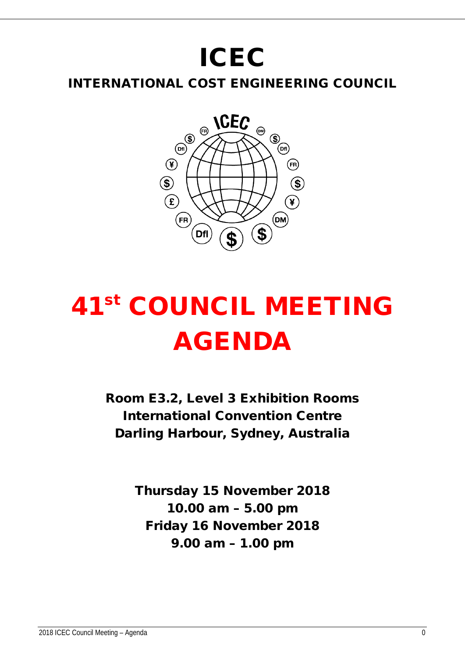## ICEC

INTERNATIONAL COST ENGINEERING COUNCIL



# 41st COUNCIL MEETING AGENDA

Room E3.2, Level 3 Exhibition Rooms International Convention Centre Darling Harbour, Sydney, Australia

> Thursday 15 November 2018 10.00 am – 5.00 pm Friday 16 November 2018 9.00 am – 1.00 pm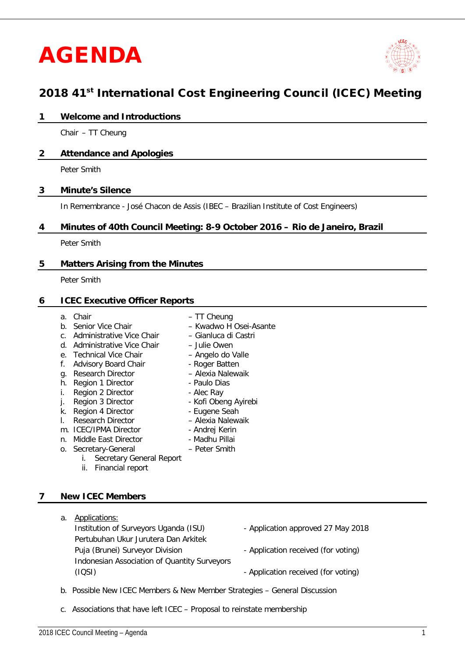## AGENDA



### 2018 41<sup>st</sup> International Cost Engineering Council (ICEC) Meeting

#### **1 Welcome and Introductions**

Chair – TT Cheung

#### **2 Attendance and Apologies**

Peter Smith

#### **3 Minute's Silence**

In Remembrance - José Chacon de Assis (IBEC – Brazilian Institute of Cost Engineers)

#### **4 Minutes of 40th Council Meeting: 8-9 October 2016 – Rio de Janeiro, Brazil**

Peter Smith

#### **5 Matters Arising from the Minutes**

Peter Smith

#### **6 ICEC Executive Officer Reports**

- 
- a. Chair TT Cheung
- b. Senior Vice Chair Fwadwo H Osei-Asante
- c. Administrative Vice Chair Gianluca di Castri
- d. Administrative Vice Chair Julie Owen
- e. Technical Vice Chair Angelo do Valle
- f. Advisory Board Chair<br>
q. Research Director Alexia Nalewaik
- g. Research Director Alexia Nale<br>h. Region 1 Director Paulo Dias
- h. Region 1 Director  **Paulo Dianus Paulo Dianus Paulo Dianus**<br>i. Region 2 Director Alec Rav
- 
- i. Region 2 Director<br>
i. Region 3 Director<br>
i. Region 3 Director<br>
i. Region 3 Director j. Region 3 Director
- k. Region 4 Director Eugene Seah
- l. Research Director Alexia Nalewaik
- 
- m. ICEC/IPMA Director<br>
n. Middle East Director<br>
 Madhu Pillai n. Middle East Director
- o. Secretary-General Peter Smith
	- i. Secretary General Report
	- ii. Financial report

#### **7 New ICEC Members**

- a. Applications: Institution of Surveyors Uganda (ISU) - Application approved 27 May 2018 Pertubuhan Ukur Jurutera Dan Arkitek Puja (Brunei) Surveyor Division - Application received (for voting) Indonesian Association of Quantity Surveyors (IQSI) - Application received (for voting)
	-
	-
	-
- b. Possible New ICEC Members & New Member Strategies General Discussion
- c. Associations that have left ICEC Proposal to reinstate membership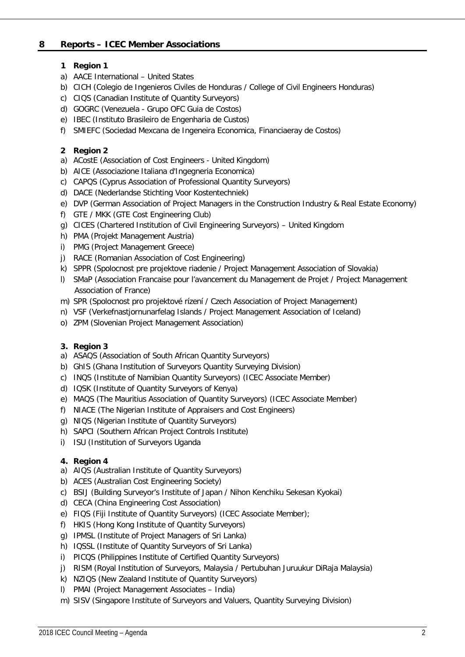#### **8 Reports – ICEC Member Associations**

#### **1 Region 1**

- a) AACE International United States
- b) CICH (Colegio de Ingenieros Civiles de Honduras / College of Civil Engineers Honduras)
- c) CIQS (Canadian Institute of Quantity Surveyors)
- d) GOGRC (Venezuela Grupo OFC Guia de Costos)
- e) IBEC (Instituto Brasileiro de Engenharia de Custos)
- f) SMIEFC (Sociedad Mexcana de Ingeneira Economica, Financiaeray de Costos)

#### **2 Region 2**

- a) ACostE (Association of Cost Engineers United Kingdom)
- b) AICE (Associazione Italiana d'Ingegneria Economica)
- c) CAPQS (Cyprus Association of Professional Quantity Surveyors)
- d) DACE (Nederlandse Stichting Voor Kostentechniek)
- e) DVP (German Association of Project Managers in the Construction Industry & Real Estate Economy)
- f) GTE / MKK (GTE Cost Engineering Club)
- g) CICES (Chartered Institution of Civil Engineering Surveyors) United Kingdom
- h) PMA (Projekt Management Austria)
- i) PMG (Project Management Greece)
- j) RACE (Romanian Association of Cost Engineering)
- k) SPPR (Spolocnost pre projektove riadenie / Project Management Association of Slovakia)
- l) SMaP (Association Francaise pour l'avancement du Management de Projet / Project Management Association of France)
- m) SPR (Spolocnost pro projektové rízení / Czech Association of Project Management)
- n) VSF (Verkefnastjornunarfelag Islands / Project Management Association of Iceland)
- o) ZPM (Slovenian Project Management Association)

#### **3. Region 3**

- a) ASAQS (Association of South African Quantity Surveyors)
- b) GhIS (Ghana Institution of Surveyors Quantity Surveying Division)
- c) INQS (Institute of Namibian Quantity Surveyors) (ICEC Associate Member)
- d) IQSK (Institute of Quantity Surveyors of Kenya)
- e) MAQS (The Mauritius Association of Quantity Surveyors) (ICEC Associate Member)
- f) NIACE (The Nigerian Institute of Appraisers and Cost Engineers)
- g) NIQS (Nigerian Institute of Quantity Surveyors)
- h) SAPCI (Southern African Project Controls Institute)
- i) ISU (Institution of Surveyors Uganda

#### **4. Region 4**

- a) AIQS (Australian Institute of Quantity Surveyors)
- b) ACES (Australian Cost Engineering Society)
- c) BSIJ (Building Surveyor's Institute of Japan / Nihon Kenchiku Sekesan Kyokai)
- d) CECA (China Engineering Cost Association)
- e) FIQS (Fiji Institute of Quantity Surveyors) (ICEC Associate Member);
- f) HKIS (Hong Kong Institute of Quantity Surveyors)
- g) IPMSL (Institute of Project Managers of Sri Lanka)
- h) IQSSL (Institute of Quantity Surveyors of Sri Lanka)
- i) PICQS (Philippines Institute of Certified Quantity Surveyors)
- j) RISM (Royal Institution of Surveyors, Malaysia / Pertubuhan Juruukur DiRaja Malaysia)
- k) NZIQS (New Zealand Institute of Quantity Surveyors)
- l) PMAI (Project Management Associates India)
- m) SISV (Singapore Institute of Surveyors and Valuers, Quantity Surveying Division)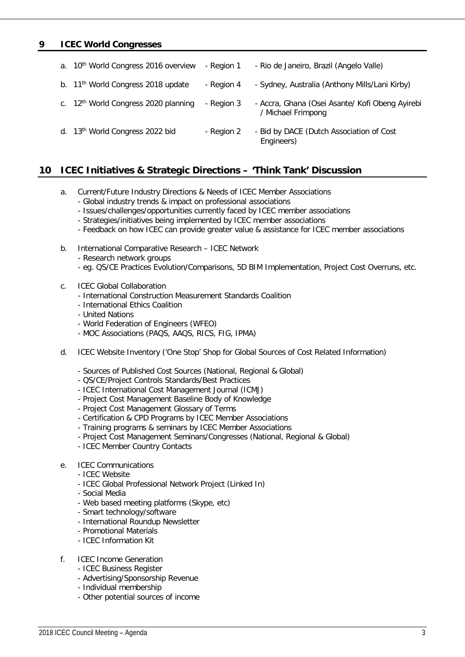#### **9 ICEC World Congresses**

| а. | 10 <sup>th</sup> World Congress 2016 overview    | - Region 1 | - Rio de Janeiro, Brazil (Angelo Valle)                               |
|----|--------------------------------------------------|------------|-----------------------------------------------------------------------|
|    | b. 11 <sup>th</sup> World Congress 2018 update   | - Region 4 | - Sydney, Australia (Anthony Mills/Lani Kirby)                        |
|    | c. 12 <sup>th</sup> World Congress 2020 planning | - Region 3 | - Accra, Ghana (Osei Asante/ Kofi Obeng Ayirebi<br>/ Michael Frimpong |
|    | d. 13th World Congress 2022 bid                  | - Region 2 | - Bid by DACE (Dutch Association of Cost<br>Engineers)                |

#### **10 ICEC Initiatives & Strategic Directions – 'Think Tank' Discussion**

- a. Current/Future Industry Directions & Needs of ICEC Member Associations
	- Global industry trends & impact on professional associations
	- Issues/challenges/opportunities currently faced by ICEC member associations
	- Strategies/initiatives being implemented by ICEC member associations
	- Feedback on how ICEC can provide greater value & assistance for ICEC member associations
- b. International Comparative Research ICEC Network
	- Research network groups
	- eg. QS/CE Practices Evolution/Comparisons, 5D BIM Implementation, Project Cost Overruns, etc.
- c. ICEC Global Collaboration
	- International Construction Measurement Standards Coalition
	- International Ethics Coalition
	- United Nations
	- World Federation of Engineers (WFEO)
	- MOC Associations (PAQS, AAQS, RICS, FIG, IPMA)
- d. ICEC Website Inventory ('One Stop' Shop for Global Sources of Cost Related Information)
	- Sources of Published Cost Sources (National, Regional & Global)
	- QS/CE/Project Controls Standards/Best Practices
	- ICEC International Cost Management Journal (ICMJ)
	- Project Cost Management Baseline Body of Knowledge
	- Project Cost Management Glossary of Terms
	- Certification & CPD Programs by ICEC Member Associations
	- Training programs & seminars by ICEC Member Associations
	- Project Cost Management Seminars/Congresses (National, Regional & Global)
	- ICEC Member Country Contacts
- e. ICEC Communications
	- ICEC Website
	- ICEC Global Professional Network Project (Linked In)
	- Social Media
	- Web based meeting platforms (Skype, etc)
	- Smart technology/software
	- International Roundup Newsletter
	- Promotional Materials
	- ICEC Information Kit
- f. ICEC Income Generation
	- ICEC Business Register
	- Advertising/Sponsorship Revenue
	- Individual membership
	- Other potential sources of income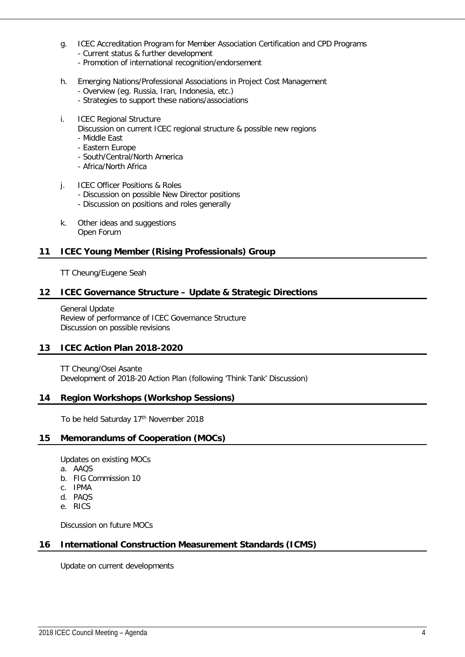- g. ICEC Accreditation Program for Member Association Certification and CPD Programs - Current status & further development
	- Promotion of international recognition/endorsement
- h. Emerging Nations/Professional Associations in Project Cost Management
	- Overview (eg. Russia, Iran, Indonesia, etc.)
	- Strategies to support these nations/associations
- i. ICEC Regional Structure Discussion on current ICEC regional structure & possible new regions - Middle East
	- Eastern Europe
	- South/Central/North America
	- Africa/North Africa
- j. ICEC Officer Positions & Roles
	- Discussion on possible New Director positions
	- Discussion on positions and roles generally
- k. Other ideas and suggestions Open Forum

#### **11 ICEC Young Member (Rising Professionals) Group**

TT Cheung/Eugene Seah

#### **12 ICEC Governance Structure – Update & Strategic Directions**

General Update Review of performance of ICEC Governance Structure Discussion on possible revisions

#### **13 ICEC Action Plan 2018-2020**

TT Cheung/Osei Asante Development of 2018-20 Action Plan (following 'Think Tank' Discussion)

#### **14 Region Workshops (Workshop Sessions)**

To be held Saturday 17<sup>th</sup> November 2018

#### **15 Memorandums of Cooperation (MOCs)**

Updates on existing MOCs

- a. AAQS
- b. FIG Commission 10
- c. IPMA
- d. PAQS
- e. RICS

Discussion on future MOCs

#### **16 International Construction Measurement Standards (ICMS)**

Update on current developments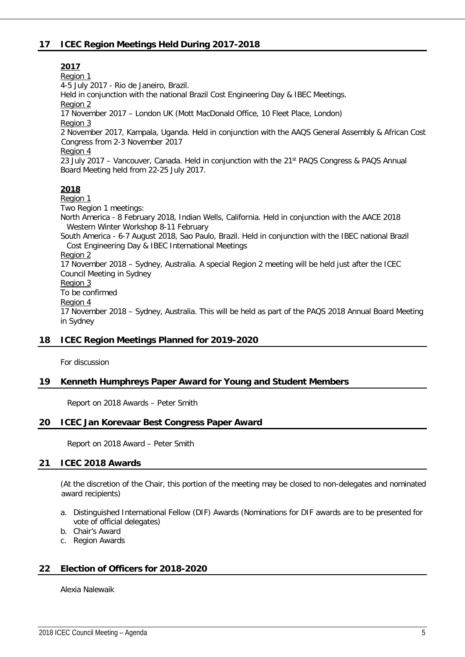#### **17 ICEC Region Meetings Held During 2017-2018**

**2017** Region 1 4-5 July 2017 - Rio de Janeiro, Brazil. Held in conjunction with the national Brazil Cost Engineering Day & IBEC Meetings. Region 2 17 November 2017 – London UK (Mott MacDonald Office, 10 Fleet Place, London) Region 3 2 November 2017, Kampala, Uganda. Held in conjunction with the AAQS General Assembly & African Cost Congress from 2-3 November 2017 Region 4 23 July 2017 – Vancouver, Canada. Held in conjunction with the 21st PAQS Congress & PAQS Annual Board Meeting held from 22-25 July 2017. **2018** Region 1 Two Region 1 meetings: North America - 8 February 2018, Indian Wells, California. Held in conjunction with the AACE 2018 Western Winter Workshop 8-11 February South America - 6-7 August 2018, Sao Paulo, Brazil. Held in conjunction with the IBEC national Brazil Cost Engineering Day & IBEC International Meetings Region 2 17 November 2018 – Sydney, Australia. A special Region 2 meeting will be held just after the ICEC Council Meeting in Sydney Region 3 To be confirmed Region 4 17 November 2018 – Sydney, Australia. This will be held as part of the PAQS 2018 Annual Board Meeting in Sydney **18 ICEC Region Meetings Planned for 2019-2020** For discussion

#### **19 Kenneth Humphreys Paper Award for Young and Student Members**

Report on 2018 Awards – Peter Smith

#### **20 ICEC Jan Korevaar Best Congress Paper Award**

Report on 2018 Award – Peter Smith

#### **21 ICEC 2018 Awards**

(At the discretion of the Chair, this portion of the meeting may be closed to non-delegates and nominated award recipients)

- a. Distinguished International Fellow (DIF) Awards (Nominations for DIF awards are to be presented for vote of official delegates)
- b. Chair's Award
- c. Region Awards

#### **22 Election of Officers for 2018-2020**

Alexia Nalewaik